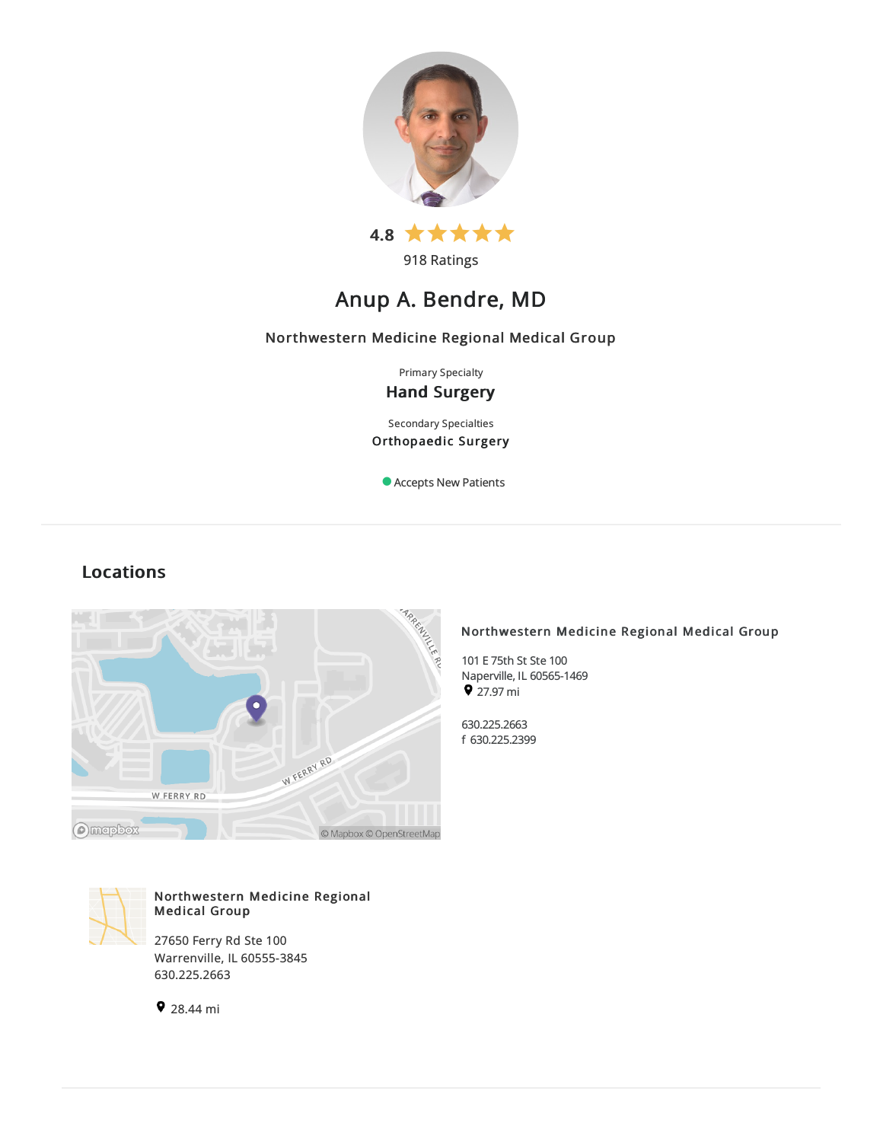

918 Ratings

# Anup A. Bendre, MD

## Northwestern Medicine Regional Medical Group

Primary Specialty Hand Surgery

Secondary Specialties Orthopaedic Surgery

Accepts New Patients

## Locations



## Northwestern Medicine Regional Medical Group

101 E 75th St Ste 100 Naperville, IL 60565-1469  $\bullet$  27.97 mi

630.225.2663 f 630.225.2399



## Northwestern Medicine Regional Medical Group

27650 Ferry Rd Ste 100 Warrenville, IL 60555-3845 630.225.2663

28.44 mi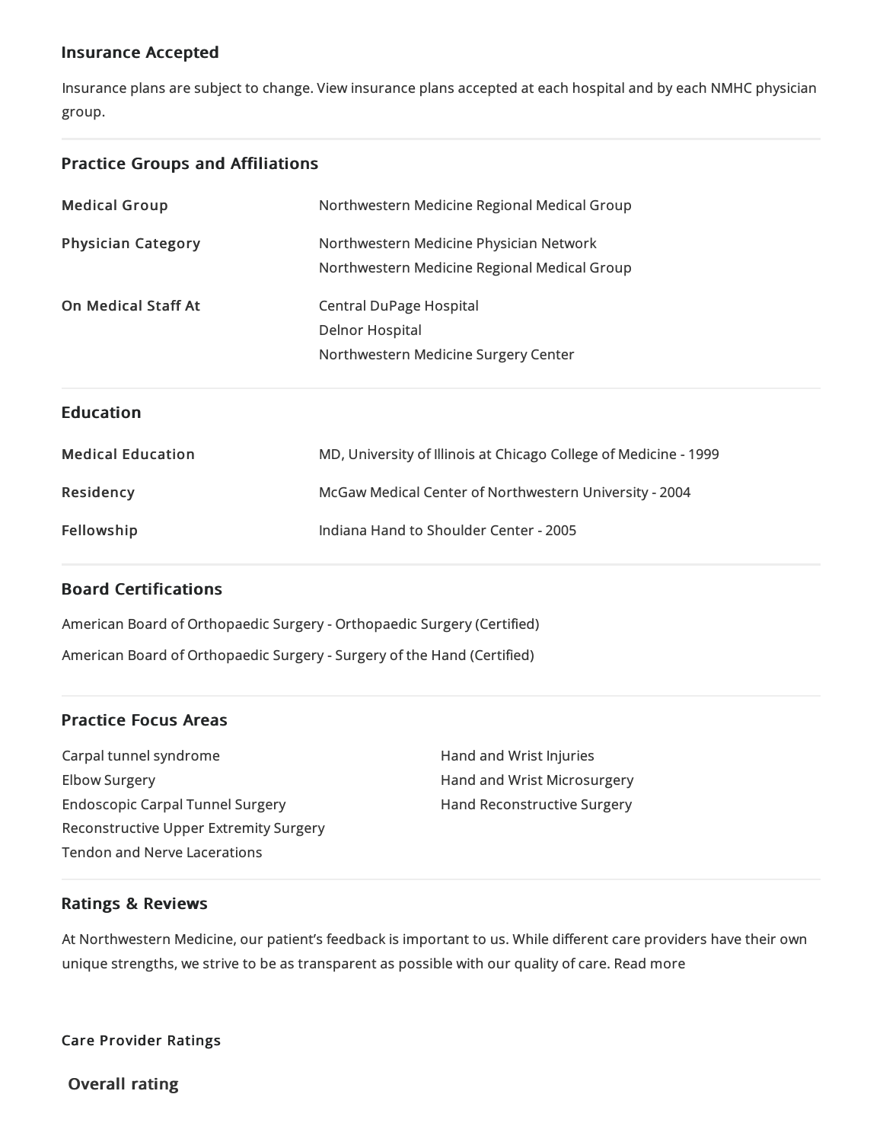## Insurance Accepted

Insurance plans are subject to change. View [insurance](https://www.nm.org/patients-and-visitors/billing-and-insurance/insurance-information/accepted-insurance-plans) plans accepted at each hospital and by each NMHC physician group.

## Practice Groups and Affiliations

| <b>Medical Group</b>       | Northwestern Medicine Regional Medical Group                     |
|----------------------------|------------------------------------------------------------------|
| <b>Physician Category</b>  | Northwestern Medicine Physician Network                          |
|                            | Northwestern Medicine Regional Medical Group                     |
| <b>On Medical Staff At</b> | <b>Central DuPage Hospital</b>                                   |
|                            | <b>Delnor Hospital</b>                                           |
|                            | Northwestern Medicine Surgery Center                             |
|                            |                                                                  |
| <b>Education</b>           |                                                                  |
| <b>Medical Education</b>   | MD, University of Illinois at Chicago College of Medicine - 1999 |
| Residency                  | McGaw Medical Center of Northwestern University - 2004           |

## Board Certifications

American Board of Orthopaedic Surgery - Orthopaedic Surgery (Certified) American Board of Orthopaedic Surgery -Surgery of the Hand (Certified)

## Practice Focus Areas

Carpal tunnel syndrome Elbow Surgery Endoscopic Carpal Tunnel Surgery Reconstructive Upper Extremity Surgery Tendon and Nerve Lacerations

Hand and Wrist Injuries Hand and Wrist Microsurgery Hand Reconstructive Surgery

## Ratings & Reviews

At Northwestern Medicine, our patient's feedback is important to us. While different care providers have their own unique strengths, we strive to be as transparent as possible with our quality of care. Read more

Care Provider Ratings

Overall rating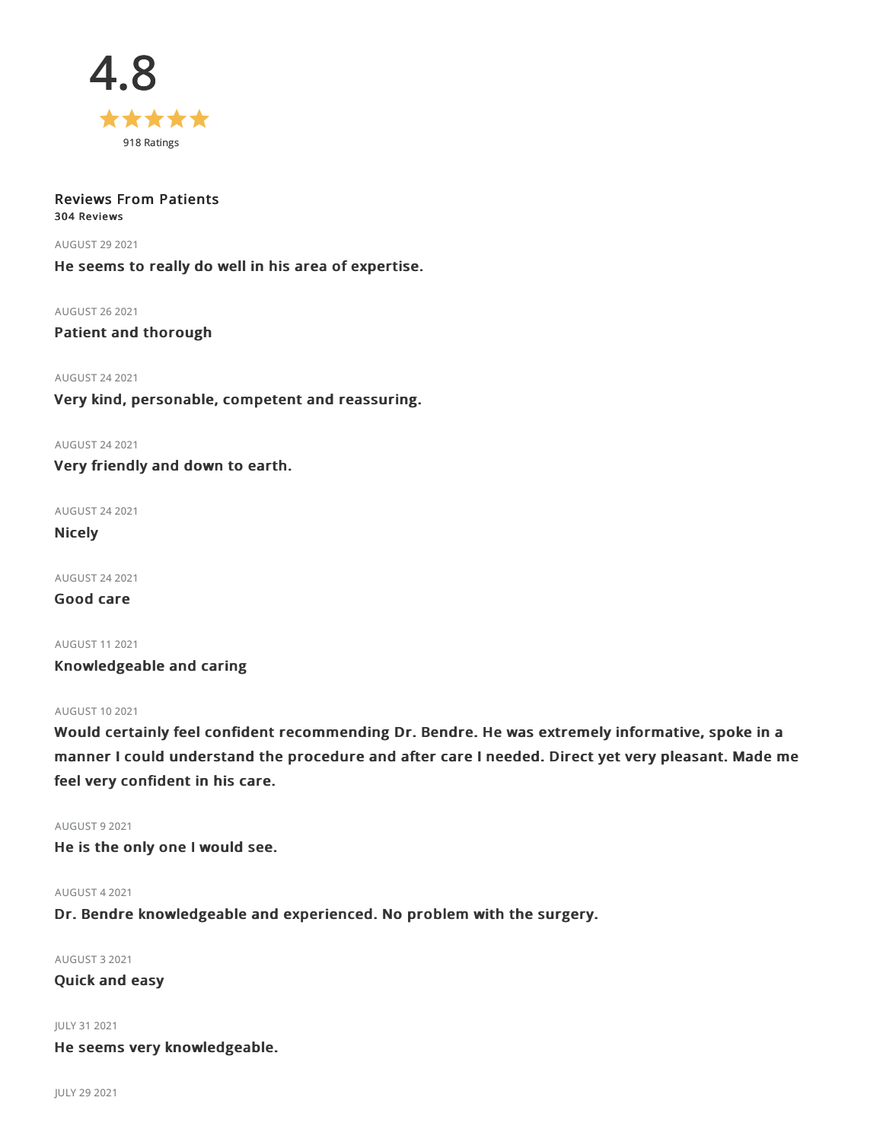

## Reviews From Patients 304 Reviews

AUGUST 29 2021

He seems to really do well in his area of expertise.

AUGUST 262021

Patient and thorough

AUGUST 242021

Very kind, personable, competent and reassuring.

AUGUST 242021

Very friendly and down to earth.

AUGUST 242021

Nicely

AUGUST 242021

Good care

AUGUST 112021 Knowledgeable and caring

## AUGUST 102021

Would certainly feel confident recommending Dr. Bendre. He was extremely informative, spoke in a manner I could understand the procedure and after care I needed. Direct yet very pleasant. Made me feel very confident in his care.

AUGUST 92021 He is the only one I would see.

AUGUST 42021

Dr. Bendre knowledgeable and experienced. No problem with the surgery.

AUGUST 32021

Quick and easy

JULY 312021 He seems very knowledgeable.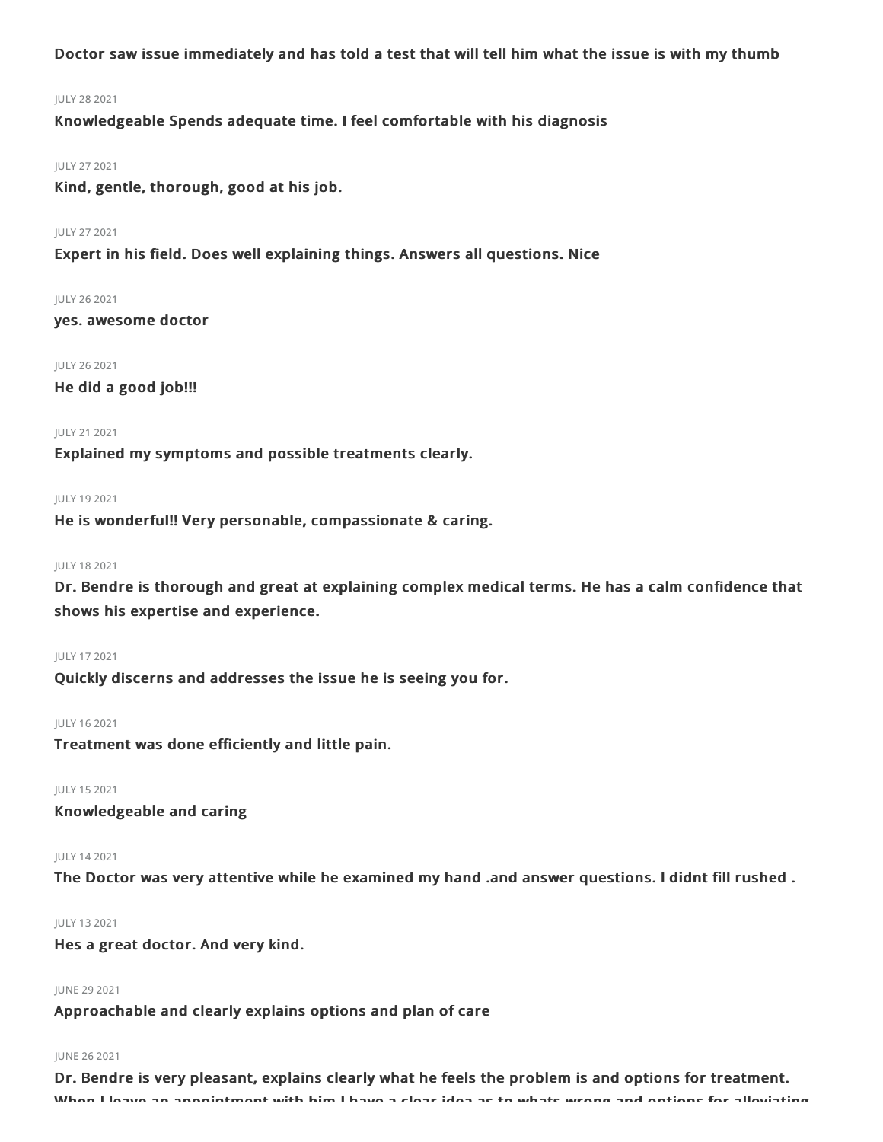Doctor saw issue immediately and has told a test that will tell him what the issue is with my thumb

#### JULY 282021

Knowledgeable Spends adequate time. I feel comfortable with his diagnosis

## JULY 272021

Kind, gentle, thorough, good at his job.

## JULY 272021

Expert in his field. Does well explaining things. Answers all questions. Nice

#### JULY 262021

yes. awesome doctor

#### JULY 262021

He did a good job!!!

#### JULY 212021

Explained my symptoms and possible treatments clearly.

## JULY 192021

He is wonderful!! Very personable, compassionate & caring.

#### JULY 182021

Dr. Bendre is thorough and great at explaining complex medical terms. He has a calm confidence that shows his expertise and experience.

## JULY 172021

Quickly discerns and addresses the issue he is seeing you for.

#### JULY 162021

Treatment was done efficiently and little pain.

JULY 152021

Knowledgeable and caring

## JULY 142021

The Doctor was very attentive while he examined my hand .and answer questions. I didnt fill rushed .

## JULY 132021

Hes a great doctor. And very kind.

## JUNE 29 2021

Approachable and clearly explains options and plan of care

## JUNE 262021

Dr. Bendre is very pleasant, explains clearly what he feels the problem is and options for treatment. When I leave an appointment with him I have a clear idea as to whats wrong and options for alleviating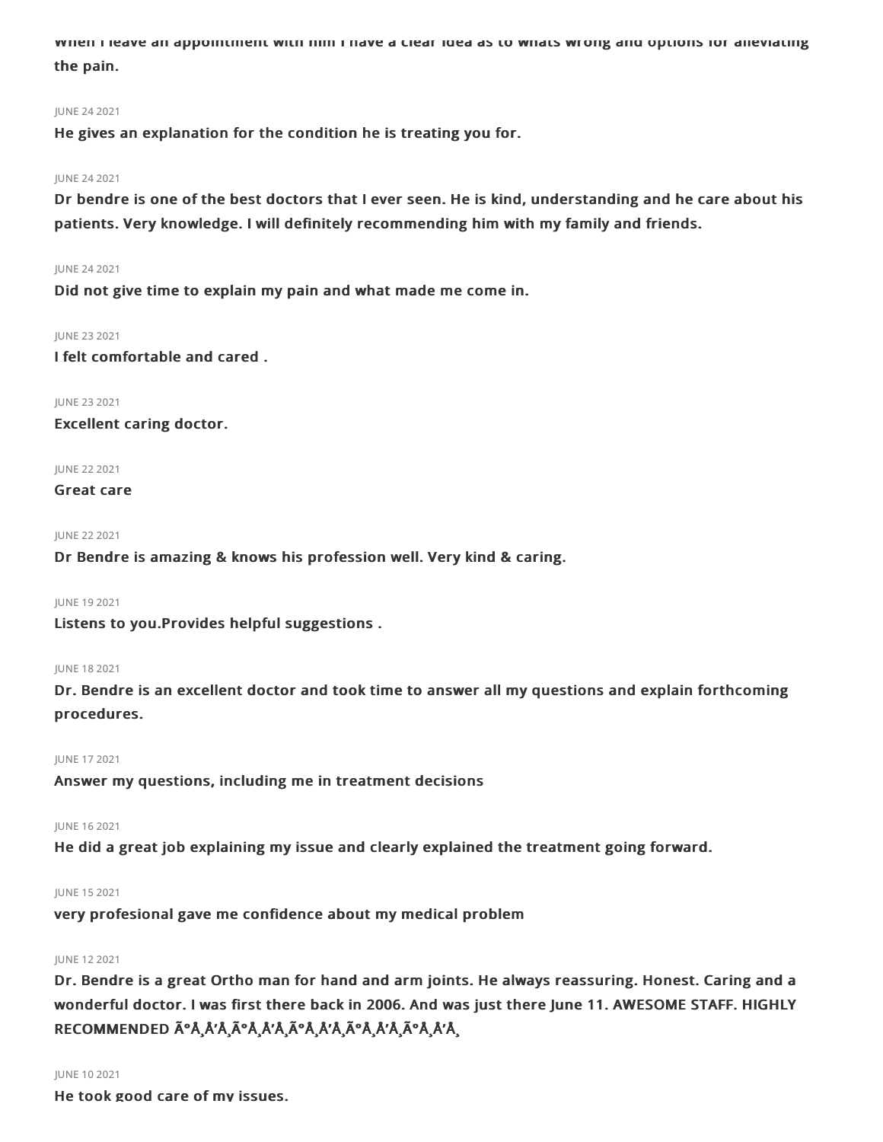When I leave an appointment with him I have a clear idea as to whats wrong and options for alleviating the pain.

## JUNE 242021

He gives an explanation for the condition he is treating you for.

#### JUNE 242021

Dr bendre is one of the best doctors that I ever seen. He is kind, understanding and he care about his patients. Very knowledge. I will definitely recommending him with my family and friends.

### JUNE 242021

Did not give time to explain my pain and what made me come in.

#### JUNE 232021

I felt comfortable and cared .

JUNE 232021 Excellent caring doctor.

JUNE 222021

### Great care

JUNE 22 2021

Dr Bendre is amazing & knows his profession well. Very kind & caring.

JUNE 192021

Listens to you.Provides helpful suggestions .

#### JUNE 182021

Dr. Bendre is an excellent doctor and took time to answer all my questions and explain forthcoming procedures.

#### JUNE 172021

Answer my questions, including me in treatment decisions

## JUNE 162021

He did a great job explaining my issue and clearly explained the treatment going forward.

## JUNE 152021

very profesional gave me confidence about my medical problem

## JUNE 122021

Dr. Bendre is a great Ortho man for hand and arm joints. He always reassuring. Honest. Caring and a wonderful doctor. I was first there back in 2006. And was just there June 11. AWESOME STAFF. HIGHLY RECOMMENDED úŸÅ'ŸÃºÅ¸Å'Å,úÅ,Å'Å,úÅ,Å'Å,úÅ,Å'Ÿ

## JUNE 102021

He took good care of my issues.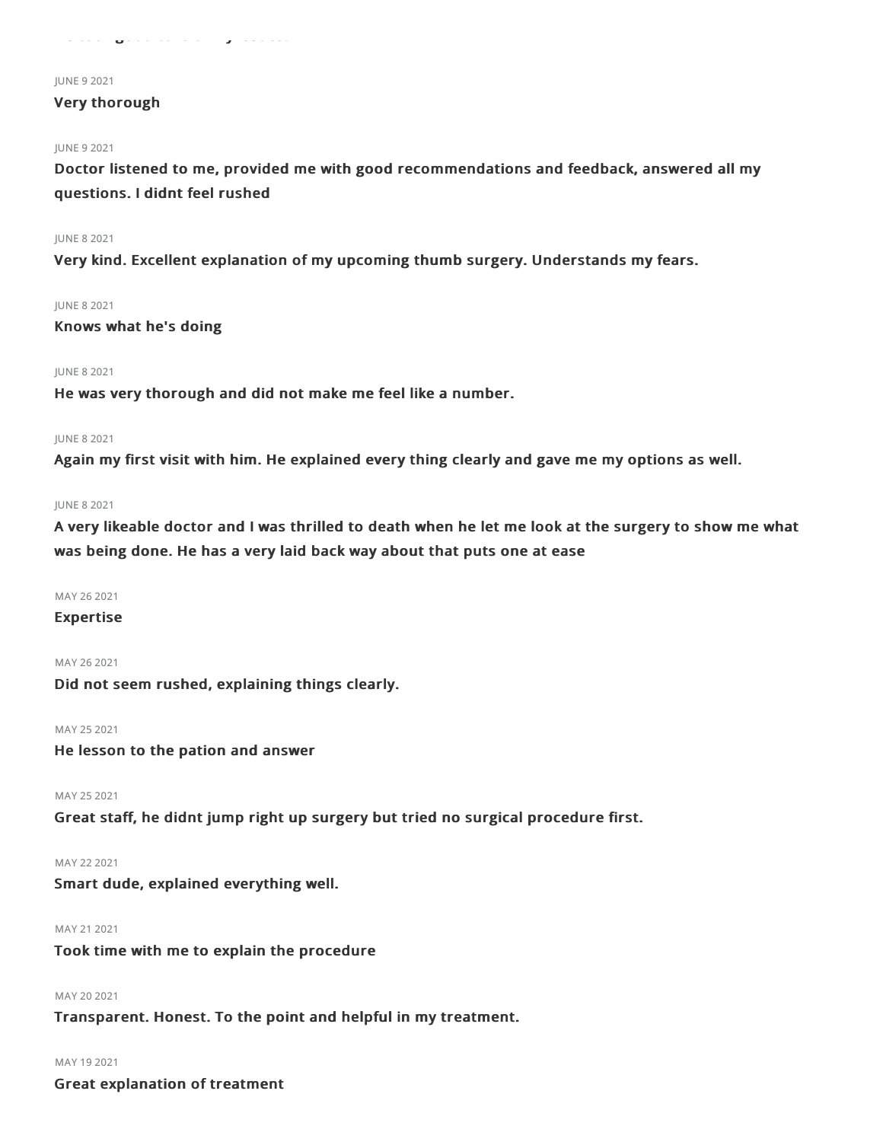#### JUNE 92021

## Very thorough

#### JUNE 92021

Doctor listened to me, provided me with good recommendations and feedback, answered all my questions. I didnt feel rushed

### JUNE 82021

Very kind. Excellent explanation of my upcoming thumb surgery. Understands my fears.

#### JUNE 82021

Knows what he's doing

#### JUNE 82021

He was very thorough and did not make me feel like a number.

#### JUNE 82021

Again my first visit with him. He explained every thing clearly and gave me my options as well.

#### JUNE 82021

A very likeable doctor and I was thrilled to death when he let me look at the surgery to show me what was being done. He has a very laid back way about that puts one at ease

#### MAY 26 2021

#### Expertise

MAY 262021 Did not seem rushed, explaining things clearly.

## MAY 25 2021

He lesson to the pation and answer

MAY 25 2021

Great staff, he didnt jump right up surgery but tried no surgical procedure first.

MAY 222021

Smart dude, explained everything well.

## MAY 212021

Took time with me to explain the procedure

MAY 20 2021

Transparent. Honest. To the point and helpful in my treatment.

## MAY 192021

Great explanation of treatment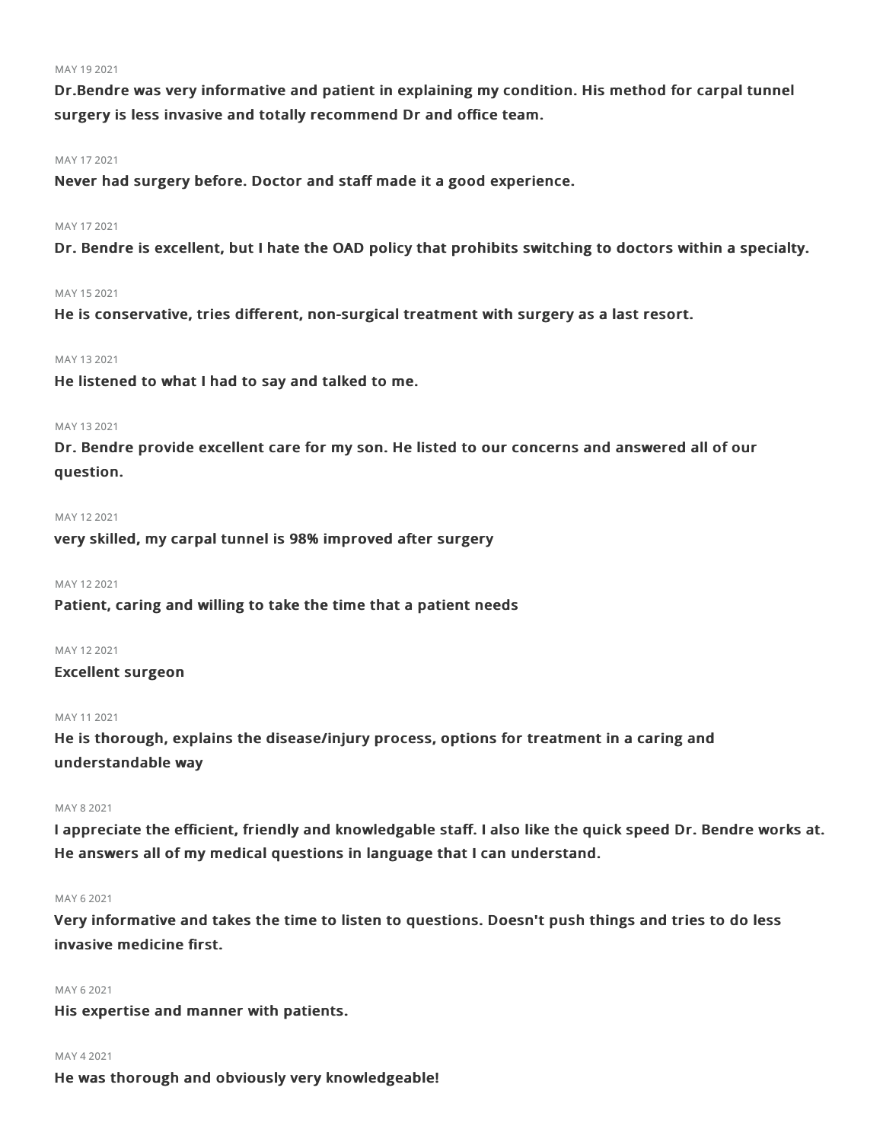#### MAY 192021

Dr.Bendre was very informative and patient in explaining my condition. His method for carpal tunnel surgery is less invasive and totally recommend Dr and office team.

#### MAY 172021

Never had surgery before. Doctor and staff made it a good experience.

### MAY 17 2021

Dr. Bendre is excellent, but I hate the OAD policy that prohibits switching to doctors within a specialty.

#### MAY 152021

He is conservative, tries different, non-surgical treatment with surgery as a last resort.

### MAY 132021

He listened to what I had to say and talked to me.

## MAY 132021

Dr. Bendre provide excellent care for my son. He listed to our concerns and answered all of our question.

#### MAY 122021

very skilled, my carpal tunnel is 98% improved after surgery

#### MAY 12 2021

Patient, caring and willing to take the time that a patient needs

#### MAY 122021

#### Excellent surgeon

### MAY 112021

He is thorough, explains the disease/injury process, options for treatment in a caring and understandable way

### MAY 82021

I appreciate the efficient, friendly and knowledgable staff. I also like the quick speed Dr. Bendre works at. He answers all of my medical questions in language that I can understand.

#### MAY 62021

Very informative and takes the time to listen to questions. Doesn't push things and tries to do less invasive medicine first.

## MAY 62021

His expertise and manner with patients.

#### MAY 42021

He was thorough and obviously very knowledgeable!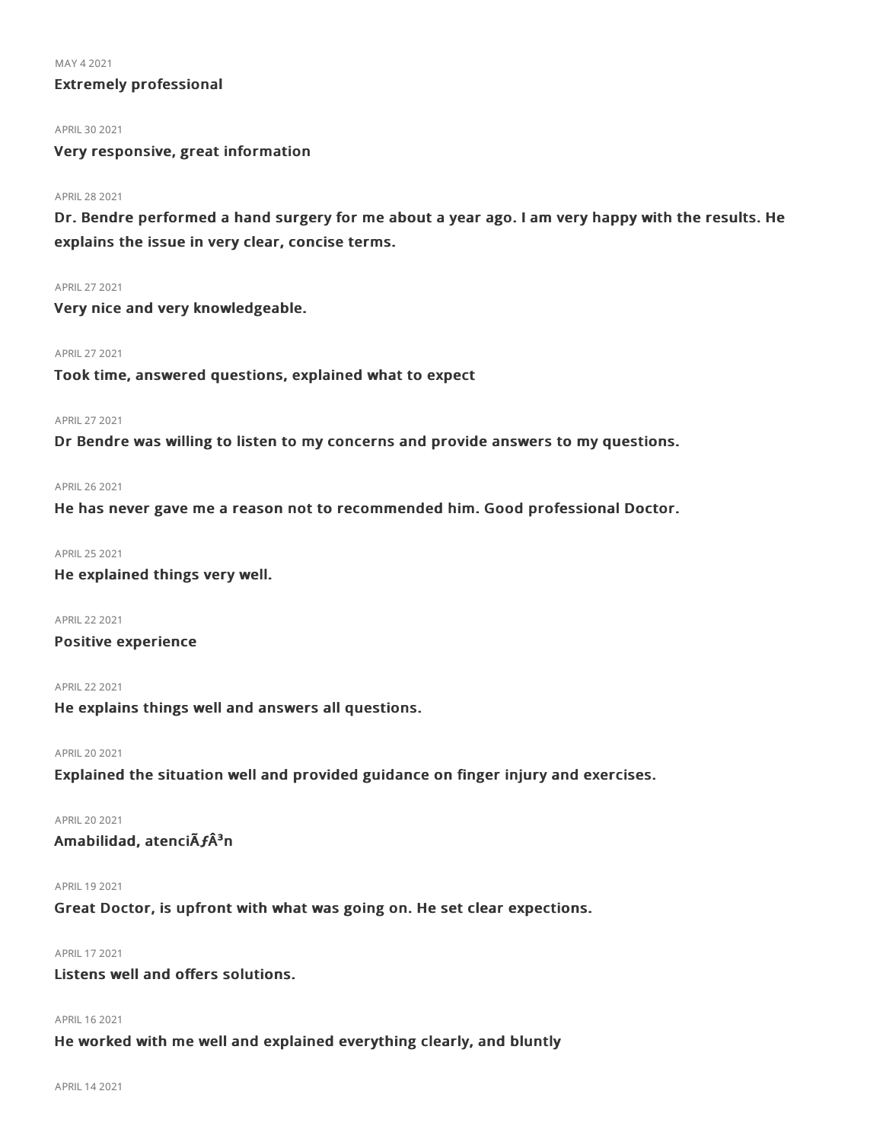MAY 42021

## Extremely professional

APRIL 30 2021

Very responsive, great information

#### APRIL282021

Dr. Bendre performed a hand surgery for me about a year ago. I am very happy with the results. He explains the issue in very clear, concise terms.

### APRIL272021

Very nice and very knowledgeable.

#### APRIL272021

Took time, answered questions, explained what to expect

#### APRIL272021

Dr Bendre was willing to listen to my concerns and provide answers to my questions.

#### APRIL262021

He has never gave me a reason not to recommended him. Good professional Doctor.

### APRIL252021

He explained things very well.

APRIL222021

Positive experience

### APRIL222021

He explains things well and answers all questions.

#### APRIL202021

Explained the situation well and provided guidance on finger injury and exercises.

APRIL202021

## Amabilidad, atenciÃ $f$ Â<sup>3</sup>n

APRIL 19 2021

Great Doctor, is upfront with what was going on. He set clear expections.

## APRIL172021

Listens well and offers solutions.

#### APRIL 16 2021

He worked with me well and explained everything clearly, and bluntly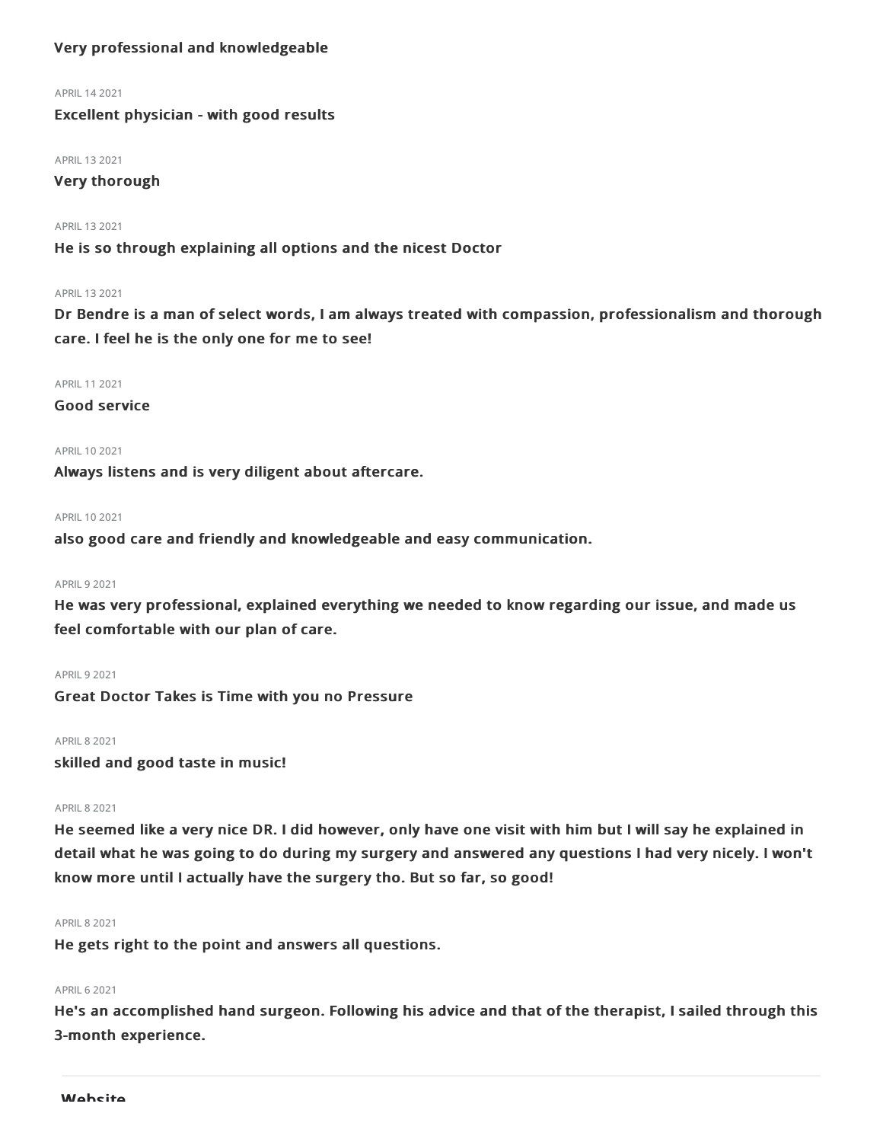## Very professional and knowledgeable

#### APRIL142021

Excellent physician - with good results

#### APRIL 13 2021

## Very thorough

### APRIL 13 2021

He is so through explaining all options and the nicest Doctor

## APRIL 13 2021

Dr Bendre is a man of select words, I am always treated with compassion, professionalism and thorough care. I feel he is the only one for me to see!

### APRIL 11 2021

Good service

## APRIL102021

Always listens and is very diligent about aftercare.

#### APRIL 10 2021

also good care and friendly and knowledgeable and easy communication.

## **APRIL 9 2021**

He was very professional, explained everything we needed to know regarding our issue, and made us feel comfortable with our plan of care.

#### **APRIL 9 2021**

Great Doctor Takes is Time with you no Pressure

#### **APRIL 8 2021**

skilled and good taste in music!

### **APRIL 8 2021**

He seemed like a very nice DR. I did however, only have one visit with him but I will say he explained in detail what he was going to do during my surgery and answered any questions I had very nicely. I won't know more until I actually have the surgery tho. But so far, so good!

#### APRIL82021

He gets right to the point and answers all questions.

## **APRIL 6 2021**

He's an accomplished hand surgeon. Following his advice and that of the therapist, I sailed through this 3-month experience.